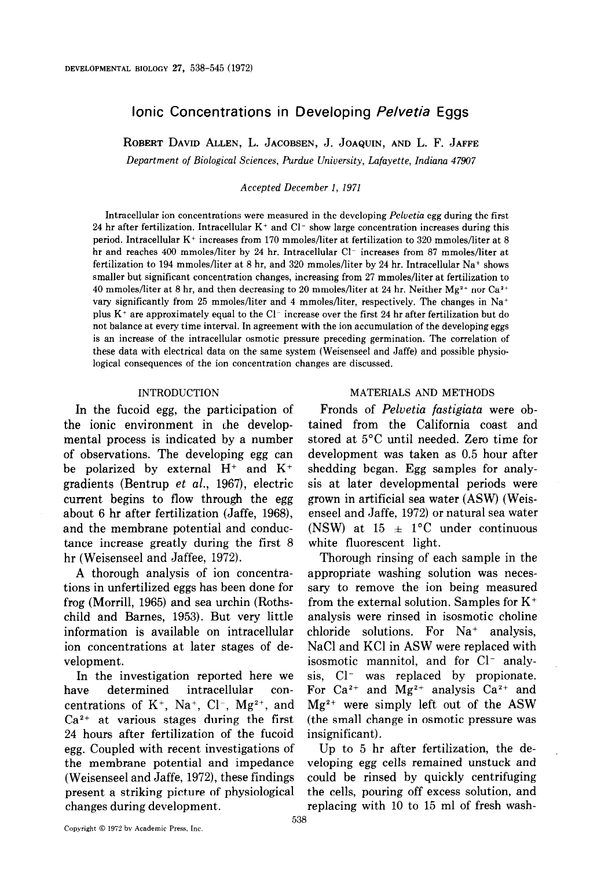# Ionic Concentrations in Developing Pelvetia Eggs

ROBERT DAVID ALLEN, L. JACOBSEN, J. JOAQUIN, AND L. F. JAFFE

Department of Biological Sciences, Purdue University, Lafayette, Indiana 47907

Accepted December I, 1971

Intracellular ion concentrations were measured in the developing Pelvetia egg during the first 24 hr after fertilization. Intracellular  $K^+$  and  $Cl^-$  show large concentration increases during this period. Intracellular  $K^+$  increases from 170 mmoles/liter at fertilization to 320 mmoles/liter at 8 hr and reaches 400 mmoles/liter by 24 hr. Intracellular  $Cl^-$  increases from 87 mmoles/liter at fertilization to 194 mmoles/liter at 8 hr, and 320 mmoles/liter by 24 hr. Intracellular Na+ shows smaller but significant concentration changes, increasing from 27 mmoles/liter at fertilization to 40 mmoles/liter at 8 hr, and then decreasing to 20 mmoles/liter at 24 hr. Neither Mg<sup>2+</sup> nor Ca<sup>2+</sup> vary significantly from 25 mmoles/liter and 4 mmoles/liter, respectively. The changes in Na+ plus  $K^+$  are approximately equal to the Cl<sup>-</sup> increase over the first 24 hr after fertilization but do not balance at every time interval. In agreement with the ion accumulation of the developing eggs is an increase of the intracellular osmotic pressure preceding germination. The correlation of these data with electrical data on the same system (Weisenseel and Jaffe) and possible physiological consequences of the ion concentration changes are discussed.

#### INTRODUCTION

In the fucoid egg, the participation of the ionic environment in the developmental process is indicated by a number of observations. The developing egg can be polarized by external  $H^+$  and  $K^+$ gradients (Bentrup et al., 1967), electric current begins to flow through the egg about 6 hr after fertilization (Jaffe, 1968), and the membrane potential and conductance increase greatly during the first 8 hr (Weisenseel and Jaffee, 1972).

A thorough analysis of ion concentrations in unfertilized eggs has been done for frog (Morrill, 1965) and sea urchin (Rothschild and Barnes, 1953). But very little information is available on intracellular ion concentrations at later stages of development.

In the investigation reported here we have determined intracellular concentrations of  $K^+$ , Na<sup>+</sup>, Cl<sup>-</sup>, Mg<sup>2+</sup>, and  $Ca<sup>2+</sup>$  at various stages during the first 24 hours after fertilization of the fucoid egg. Coupled with recent investigations of the membrane potential and impedance (Weisenseel and Jaffe, 1972), these findings present a striking picture of physiological changes during development.

#### MATERIALS AND METHODS

Fronds of Pelvetia fastigiata were obtained from the California coast and stored at 5°C until needed. Zero time for development was taken as 0.5 hour after shedding began. Egg samples for analysis at later developmental periods were grown in artificial sea water (ASW) (Weisenseel and Jaffe, 1972) or natural sea water (NSW) at 15  $\pm$  1°C under continuous white fluorescent light.

Thorough rinsing of each sample in the appropriate washing solution was necessary to remove the ion being measured from the external solution. Samples for  $K^+$ analysis were rinsed in isosmotic choline chloride solutions. For  $Na^+$  analysis, NaCl and KC1 in ASW were replaced with isosmotic mannitol, and for Cl<sup>-</sup> analysis, Cl<sup>-</sup> was replaced by propionate. For Ca<sup>2+</sup> and Mg<sup>2+</sup> analysis Ca<sup>2+</sup> and  $Mg^{2+}$  were simply left out of the ASW (the small change in osmotic pressure was insignificant).

Up to 5 hr after fertilization, the developing egg cells remained unstuck and could be rinsed by quickly centrifuging the cells, pouring off excess solution, and replacing with 10 to 15 ml of fresh wash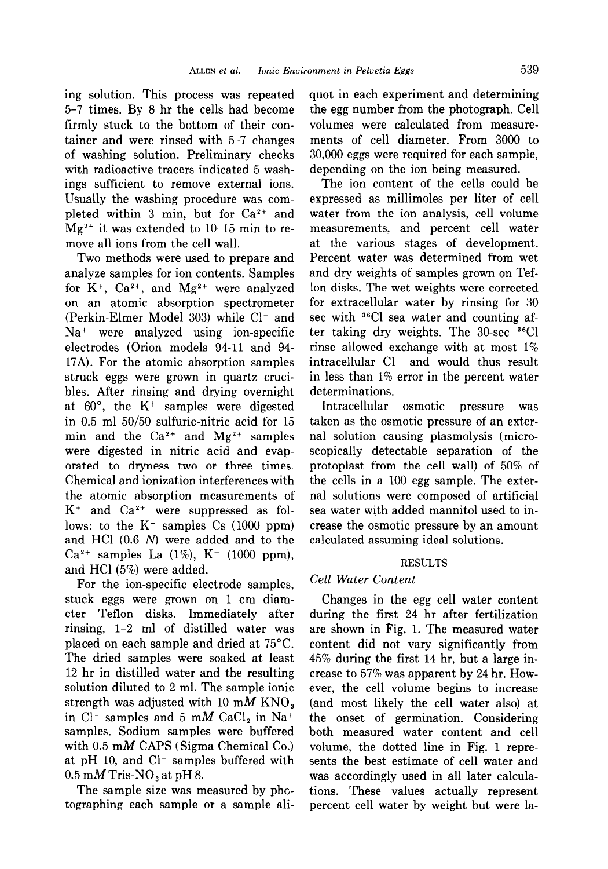ing solution. This process was repeated 5-7 times. By 8 hr the cells had become firmly stuck to the bottom of their container and were rinsed with 5-7 changes of washing solution. Preliminary checks with radioactive tracers indicated 5 washings sufficient to remove external ions. Usually the washing procedure was completed within 3 min, but for  $Ca^{2+}$  and  $Mg^{2+}$  it was extended to 10–15 min to remove all ions from the cell wall.

Two methods were used to prepare and analyze samples for ion contents. Samples for  $K^+$ ,  $Ca^{2+}$ , and  $Mg^{2+}$  were analyzed on an atomic absorption spectrometer (Perkin-Elmer Model 303) while Cl<sup>-</sup> and Na<sup>+</sup> were analyzed using ion-specific electrodes (Orion models 94-11 and 94- 17A). For the atomic absorption samples struck eggs were grown in quartz crucibles. After rinsing and drying overnight at  $60^{\circ}$ , the K<sup>+</sup> samples were digested in 0.5 ml 50/50 sulfuric-nitric acid for 15 min and the  $Ca^{2+}$  and  $Mg^{2+}$  samples were digested in nitric acid and evaporated to dryness two or three times. Chemical and ionization interferences with the atomic absorption measurements of  $K^+$  and  $Ca^{2+}$  were suppressed as follows: to the  $K^+$  samples Cs (1000 ppm) and HCl (0.6 N) were added and to the  $Ca^{2+}$  samples La  $(1\%)$ , K<sup>+</sup> (1000 ppm), and HCl (5%) were added.

For the ion-specific electrode samples, stuck eggs were grown on 1 cm diameter Teflon disks. Immediately after rinsing, l-2 ml of distilled water was placed on each sample and dried at 75°C. The dried samples were soaked at least 12 hr in distilled water and the resulting solution diluted to 2 ml. The sample ionic strength was adjusted with 10 mM  $KNO<sub>s</sub>$ in Cl<sup>-</sup> samples and 5 mM CaCl<sub>2</sub> in Na<sup>+</sup> samples. Sodium samples were buffered with  $0.5$  mM CAPS (Sigma Chemical Co.) at pH 10, and Cl<sup>-</sup> samples buffered with  $0.5 \text{ mM}$  Tris-NO<sub>3</sub> at pH 8.

The sample size was measured by photographing each sample or a sample aliquot in each experiment and determining the egg number from the photograph. Cell volumes were calculated from measurements of cell diameter. From 3000 to 30,000 eggs were required for each sample, depending on the ion being measured.

The ion content of the cells could be expressed as millimoles per liter of cell water from the ion analysis, cell volume measurements, and percent cell water at the various stages of development. Percent water was determined from wet and dry weights of samples grown on Teflon disks. The wet weights were corrected for extracellular water by rinsing for 30 sec with  ${}^{36}$ Cl sea water and counting after taking dry weights. The  $30$ -sec  $36$ Cl rinse allowed exchange with at most 1% intracellular Cl<sup>-</sup> and would thus result in less than 1% error in the percent water determinations.

Intracellular osmotic pressure was taken as the osmotic pressure of an external solution causing plasmolysis (microscopically detectable separation of the protoplast from the cell wall) of 50% of the cells in a 100 egg sample. The external solutions were composed of artificial sea water with added mannitol used to increase the osmotic pressure by an amount calculated assuming ideal solutions.

#### RESULTS

## Cell Water Content

Changes in the egg cell water content during the first 24 hr after fertilization are shown in Fig. 1. The measured water content did not vary significantly from 45% during the first 14 hr, but a large increase to 57% was apparent by 24 hr. However, the cell volume begins to increase (and most likely the cell water also) at the onset of germination. Considering both measured water content and cell volume, the dotted line in Fig. 1 represents the best estimate of cell water and was accordingly used in all later calculations. These values actually represent percent cell water by weight but were la-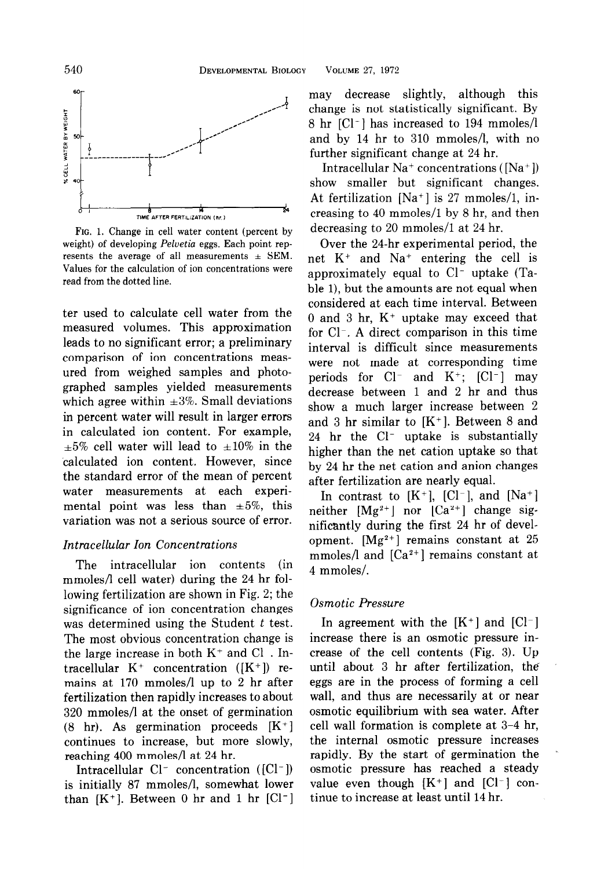

FIG. 1. Change in cell water content (percent by weight) of developing Peluetia eggs. Each point represents the average of all measurements  $\pm$  SEM. Values for the calculation of ion concentrations were read from the dotted line.

ter used to calculate cell water from the measured volumes. This approximation leads to no significant error; a preliminary comparison of ion concentrations measured from weighed samples and photographed samples yielded measurements which agree within  $\pm 3\%$ . Small deviations in percent water will result in larger errors in calculated ion content. For example,  $\pm 5\%$  cell water will lead to  $\pm 10\%$  in the calculated ion content. However, since the standard error of the mean of percent water measurements at each experimental point was less than  $\pm 5\%$ , this variation was not a serious source of error.

## Intracellular Ion Concentrations

The intracellular ion contents (in mmoles/l cell water) during the 24 hr following fertilization are shown in Fig. 2; the significance of ion concentration changes was determined using the Student  $t$  test. The most obvious concentration change is the large increase in both  $K^+$  and  $Cl^-$ . Intracellular  $K^+$  concentration ( $[K^+]$ ) remains at 170 mmoles/l up to 2 hr after fertilization then rapidly increases to about 320 mmoles/l at the onset of germination  $(8 \text{ hr})$ . As germination proceeds  $[K^+]$ continues to increase, but more slowly, reaching 400 mmoles/l at 24 hr.

Intracellular  $Cl^-$  concentration ( $[Cl^-]$ ) is initially 87 mmoles/l, somewhat lower than  $[K^+]$ . Between 0 hr and 1 hr  $[Cl^-]$  may decrease slightly, although this change is not statistically significant. By 8 hr [Cl-] has increased to 194 mmoles/l and by 14 hr to 310 mmoles/l, with no further significant change at 24 hr.

Intracellular  $Na^+$  concentrations ( $[Na^+]$ ) show smaller but significant changes. At fertilization [Na+] is 27 mmoles/l, increasing to 40 mmoles/l by 8 hr, and then decreasing to 20 mmoles/l at 24 hr.

Over the 24-hr experimental period, the net K+ and Na+ entering the cell is approximately equal to  $Cl^-$  uptake (Table 1), but the amounts are not equal when considered at each time interval. Between 0 and 3 hr,  $K^+$  uptake may exceed that for  $Cl^-$ . A direct comparison in this time interval is difficult since measurements were not made at corresponding time periods for  $Cl^-$  and  $K^+$ ;  $[Cl^-]$  may decrease between 1 and 2 hr and thus show a much larger increase between 2 and 3 hr similar to  $[K^+]$ . Between 8 and 24 hr the Cl<sup>-</sup> uptake is substantially higher than the net cation uptake so that by 24 hr the net cation and anion changes after fertilization are nearly equal.

In contrast to  $[K^+]$ ,  $[Cl^-]$ , and  $[Na^+]$ neither  $[Mg^{2+}]$  nor  $[Ca^{2+}]$  change significantly during the first 24 hr of development.  $[Mg^{2+}]$  remains constant at 25 mmoles/l and  $[Ca^{2+}]$  remains constant at 4 mmoles/.

#### Osmotic Pressure

In agreement with the  $[K^+]$  and  $[Cl^-]$ increase there is an osmotic pressure increase of the cell contents (Fig. 3). Up until about 3 hr after fertilization, the eggs are in the process of forming a cell wall, and thus are necessarily at or near osmotic equilibrium with sea water. After cell wall formation is complete at 3-4 hr, the internal osmotic pressure increases rapidly. By the start of germination the osmotic pressure has reached a steady value even though  $[K^+]$  and  $[Cl^-]$  continue to increase at least until 14 hr.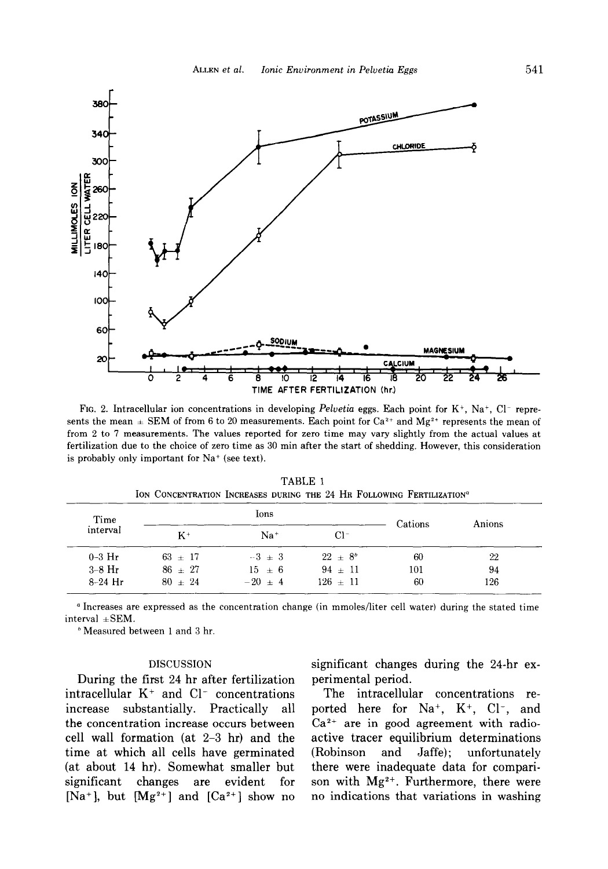

FIG. 2. Intracellular ion concentrations in developing Pelvetia eggs. Each point for  $K^+$ , Na<sup>+</sup>, Cl<sup>-</sup> represents the mean  $\pm$  SEM of from 6 to 20 measurements. Each point for Ca<sup>2+</sup> and Mg<sup>2+</sup> represents the mean of from 2 to 7 measurements. The values reported for zero time may vary slightly from the actual values at fertilization due to the choice of zero time as 30 min after the start of shedding. However, this consideration is probably only important for  $Na^+$  (see text).

| Time      |           | Ions       | Cations     | Anions |     |
|-----------|-----------|------------|-------------|--------|-----|
| interval  | $K^+$     | $Na+$      | $Cl^-$      |        |     |
| $0-3$ Hr  | $63 + 17$ | $-3 + 3$   | $22 + 8^b$  | 60     | 22  |
| $3-8$ Hr  | $86 + 27$ | $15 \pm 6$ | $94 \pm 11$ | 101    | 94  |
| $8-24$ Hr | $80 + 24$ | $-20 + 4$  | $126 + 11$  | 60     | 126 |

TABLE 1 ION CONCENTRATION INCREASES DURING THE 24 HR FOLLOWING FERTILIZATION<sup>®</sup>

a Increases are expressed as the concentration change (in mmoles/liter cell water) during the stated time  $interval \pm SEM$ .

<sup>b</sup> Measured between 1 and 3 hr.

During the first 24 hr after fertilization perimental period.  $intrac{$ lular K<sup>+</sup> and Cl<sup>-</sup> concentrations The intracellular concentrations reincrease substantially. Practically all ported here for  $Na<sup>+</sup>$ ,  $K<sup>+</sup>$ ,  $Cl<sup>-</sup>$ , and the concentration increase occurs between  $Ca^{2+}$  are in good agreement with radiocell wall formation (at 2-3 hr) and the active tracer equilibrium determinations time at which all cells have germinated (Robinson and Jaffe); unfortunately (at about 14 hr). Somewhat smaller but there were inadequate data for comparisignificant changes are evident for son with  $Mg^{2+}$ . Furthermore, there were  $[Na^+]$ , but  $[Mg^{2+}]$  and  $[Ca^{2+}]$  show no no indications that variations in washing

DISCUSSION significant changes during the 24-hr ex-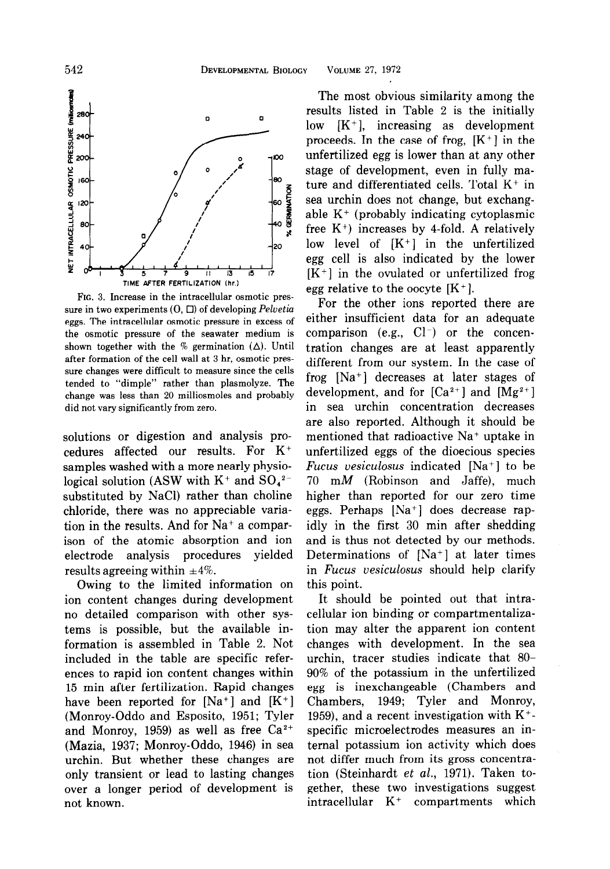

FIG. 3. Increase in the intracellular osmotic pressure in two experiments  $(0, \Box)$  of developing Pelvetia eggs. The intracellular osmotic pressure in excess of the osmotic pressure of the seawater medium is shown together with the % germination  $(\Delta)$ . Until after formation of the cell wall at 3 hr, osmotic pressure changes were difficult to measure since the cells tended to "dimple" rather than plasmolyze. The change was less than 20 milliosmoles and probably did not vary significantly from zero.

solutions or digestion and analysis procedures affected our results. For K+ samples washed with a more nearly physiological solution (ASW with  $K^+$  and  $SO_4^2$ <sup>-</sup> substituted by NaCl) rather than choline chloride, there was no appreciable variation in the results. And for Na+ a comparison of the atomic absorption and ion electrode analysis procedures yielded results agreeing within  $\pm 4\%$ .

Owing to the limited information on ion content changes during development no detailed comparison with other systems is possible, but the available information is assembled in Table 2. Not included in the table are specific references to rapid ion content changes within 15 min after fertilization. Rapid changes have been reported for  $[Na^+]$  and  $[K^+]$ (Monroy-Oddo and Esposito, 1951; Tyler and Monroy, 1959) as well as free  $Ca^{2+}$ (Mazia, 1937; Monroy-Oddo, 1946) in sea urchin. But whether these changes are only transient or lead to lasting changes over a longer period of development is not known.

The most obvious similarity among the results listed in Table 2 is the initially low  $[K^+]$ , increasing as development proceeds. In the case of frog,  $[K^+]$  in the unfertilized egg is lower than at any other stage of development, even in fully mature and differentiated cells. Total  $K^+$  in sea urchin does not change, but exchangable K+ (probably indicating cytoplasmic free  $K^+$ ) increases by 4-fold. A relatively low level of  $[K^+]$  in the unfertilized egg cell is also indicated by the lower  $[K^+]$  in the ovulated or unfertilized frog egg relative to the oocyte  $[K^+]$ .

For the other ions reported there are either insufficient data for an adequate comparison (e.g.,  $Cl^-$ ) or the concentration changes are at least apparently different from our system. In the case of frog [Na+] decreases at later stages of development, and for  $[Ca^{2+}]$  and  $[Mg^{2+}]$ in sea urchin concentration decreases are also reported. Although it should be mentioned that radioactive Na+ uptake in unfertilized eggs of the dioecious species Fucus vesiculosus indicated  $[Na^+]$  to be 70 mM (Robinson and Jaffe), much higher than reported for our zero time eggs. Perhaps [Na+] does decrease rapidly in the first 30 min after shedding and is thus not detected by our methods. Determinations of [Na+] at later times in Fucus vesiculosus should help clarify this point.

It should be pointed out that intracellular ion binding or compartmentalization may alter the apparent ion content changes with development. In the sea urchin, tracer studies indicate that 80- 90% of the potassium in the unfertilized egg is inexchangeable (Chambers and Chambers, 1949; Tyler and Monroy, 1959), and a recent investigation with  $K^+$ specific microelectrodes measures an internal potassium ion activity which does not differ much from its gross concentration (Steinhardt et al., 1971). Taken together, these two investigations suggest intracellular K+ compartments which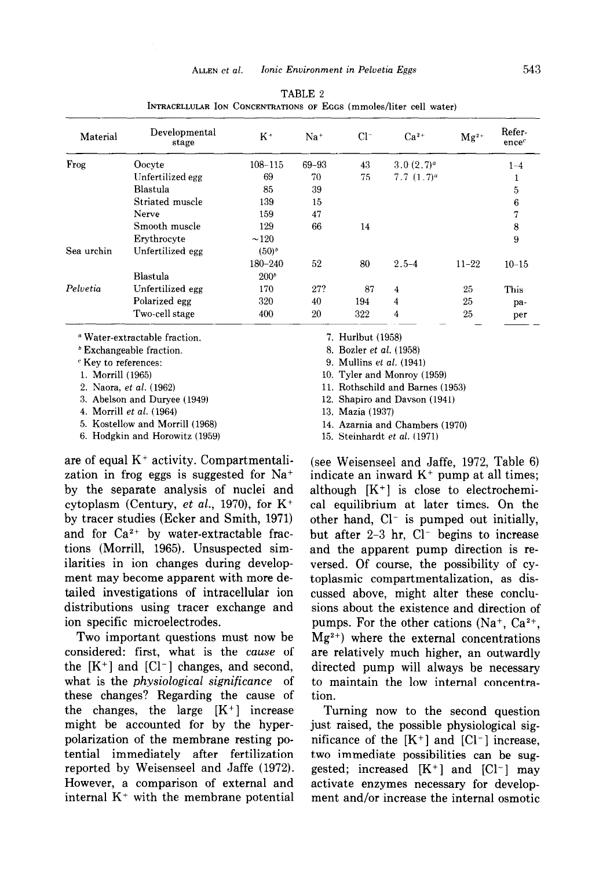| Material                                 | Developmental<br>stage | $K^+$            | $Na+$     | $Cl^-$            | $Ca^{2+}$             | $Mg^{2+}$ | Refer-<br>ence <sup>c</sup> |
|------------------------------------------|------------------------|------------------|-----------|-------------------|-----------------------|-----------|-----------------------------|
| Frog                                     | Oocyte                 | $108 - 115$      | $69 - 93$ | 43                | 3.0(2.7) <sup>a</sup> |           | $1 - 4$                     |
|                                          | Unfertilized egg       | 69               | 70        | 75                | 7.7 $(1.7)^a$         |           | ш                           |
|                                          | Blastula               | 85               | 39        |                   |                       |           | 5                           |
|                                          | Striated muscle        | 139              | 15        |                   |                       |           | 6                           |
|                                          | Nerve                  | 159              | 47        |                   |                       |           | 7                           |
|                                          | Smooth muscle          | 129              | 66        | 14                |                       |           | 8                           |
|                                          | Erythrocyte            | $\sim$ 120       |           |                   |                       |           | 9                           |
| Sea urchin                               | Unfertilized egg       | $(50)^{b}$       |           |                   |                       |           |                             |
|                                          |                        | 180-240          | 52        | 80                | $2.5 - 4$             | $11 - 22$ | $10 - 15$                   |
|                                          | Blastula               | 200 <sup>b</sup> |           |                   |                       |           |                             |
| Pelvetia                                 | Unfertilized egg       | 170              | 27?       | 87                | 4                     | 25        | <b>This</b>                 |
|                                          | Polarized egg          | 320              | 40        | 194               | 4                     | 25        | pa-                         |
|                                          | Two-cell stage         | 400              | 20        | 322               | 4                     | 25        | per                         |
| <sup>a</sup> Water-extractable fraction. |                        |                  |           | 7. Hurlbut (1958) |                       |           |                             |

TABLE 2 INTRACELLULAR ION CONCENTRATIONS OF EGGS (mmoles/liter cell water)

\* Exchangeable fraction.

c Key to references:

1. Morrill (1965)

2. Naora, et al. (1962)

3. Abelson and Duryee (1949)

4. Morrill et al. (1964)

5. Kostellow and Morrill (1968)

6. Hodgkin and Horowitz (1959)

are of equal  $K^+$  activity. Compartmentalization in frog eggs is suggested for Na+ by the separate analysis of nuclei and cytoplasm (Century, et al., 1970), for  $K^+$ by tracer studies (Ecker and Smith, 1971) and for  $Ca^{2+}$  by water-extractable fractions (Morrill, 1965). Unsuspected similarities in ion changes during development may become apparent with more detailed investigations of intracellular ion distributions using tracer exchange and ion specific microelectrodes.

Two important questions must now be considered: first, what is the cause of the  $[K^+]$  and  $[Cl^-]$  changes, and second, what is the *physiological significance* of these changes? Regarding the cause of the changes, the large  $[K^+]$  increase might be accounted for by the hyperpolarization of the membrane resting potential immediately after fertilization reported by Weisenseel and Jaffe (1972). However, a comparison of external and internal  $K^+$  with the membrane potential 8. Bozler et al. (1958)

9. Mullins et al. (1941)

10. Tyler and Monroy (1959)

11. Rothschild and Barnes (1953)

12. Shapiro and Davson (1941)

13. Mazia (1937)

14. Azarnia and Chambers (1970)

15. Steinhardt et al. (1971)

(see Weisenseel and Jaffe, 1972, Table 6) indicate an inward  $K^+$  pump at all times; although  $[K^+]$  is close to electrochemical equilibrium at later times. On the other hand,  $Cl^-$  is pumped out initially, but after  $2-3$  hr,  $Cl^-$  begins to increase and the apparent pump direction is reversed. Of course, the possibility of cytoplasmic compartmentalization, as discussed above, might alter these conclusions about the existence and direction of pumps. For the other cations  $(Na^+, Ca^{2+},$  $Mg^{2+}$ ) where the external concentrations are relatively much higher, an outwardly directed pump will always be necessary to maintain the low internal concentration.

Turning now to the second question just raised, the possible physiological significance of the  $[K^+]$  and  $[Cl^-]$  increase, two immediate possibilities can be suggested; increased  $[K^+]$  and  $[Cl^-]$  may activate enzymes necessary for development and/or increase the internal osmotic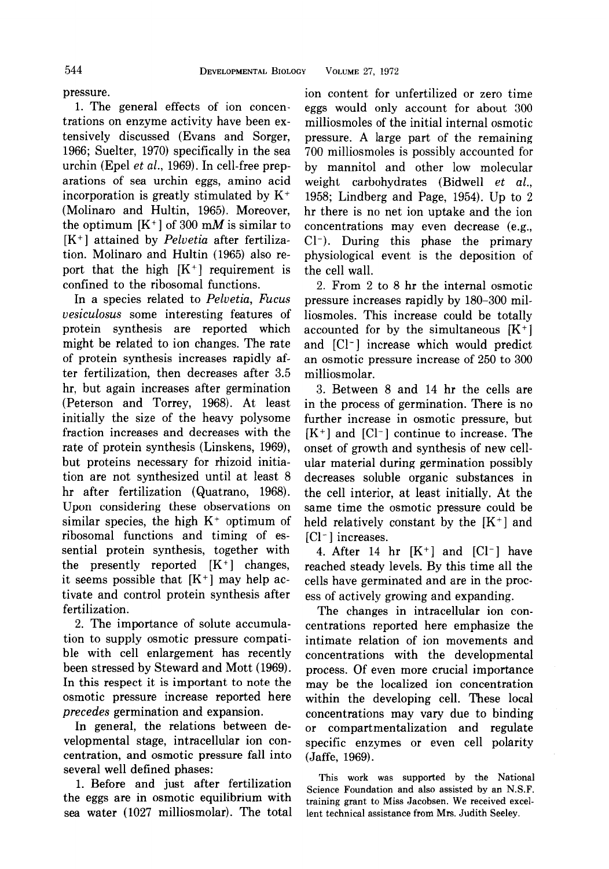pressure. 1. The general effects of ion concentrations on enzyme activity have been extensively discussed (Evans and Sorger, 1966; Suelter, 1970) specifically in the sea urchin (Epel et al., 1969). In cell-free preparations of sea urchin eggs, amino acid incorporation is greatly stimulated by  $K^+$ (Molinaro and Hultin, 1965). Moreover, the optimum  $[K^+]$  of 300 mM is similar to  $[K^+]$  attained by *Pelvetia* after fertilization. Molinaro and Hultin (1965) also report that the high  $[K^+]$  requirement is confined to the ribosomal functions.

In a species related to Pelvetia, Fucus vesiculosus some interesting features of protein synthesis are reported which might be related to ion changes. The rate of protein synthesis increases rapidly after fertilization, then decreases after 3.5 hr, but again increases after germination (Peterson and Torrey, 1968). At least initially the size of the heavy polysome fraction increases and decreases with the rate of protein synthesis (Linskens, 1969), but proteins necessary for rhizoid initiation are not synthesized until at least 8 hr after fertilization (Quatrano, 1968). Upon considering these observations on similar species, the high  $K^+$  optimum of ribosomal functions and timing of essential protein synthesis, together with the presently reported  $[K^+]$  changes, it seems possible that  $[K^+]$  may help activate and control protein synthesis after fertilization.

2. The importance of solute accumulation to supply osmotic pressure compatible with cell enlargement has recently been stressed by Steward and Mott (1969). In this respect it is important to note the osmotic pressure increase reported here precedes germination and expansion.

In general, the relations between developmental stage, intracellular ion concentration, and osmotic pressure fall into several well defined phases:

1. Before and just after fertilization the eggs are in osmotic equilibrium with sea water (1027 milliosmolar). The total ion content for unfertilized or zero time eggs would only account for about 300 milliosmoles of the initial internal osmotic pressure. A large part of the remaining 700 milliosmoles is possibly accounted for by mannitol and other low molecular weight carbohydrates (Bidwell et al., 1958; Lindberg and Page, 1954). Up to 2 hr there is no net ion uptake and the ion concentrations may even decrease (e.g., Cl-). During this phase the primary physiological event is the deposition of the cell wall.

2. From 2 to 8 hr the internal osmotic pressure increases rapidly by 180-300 milliosmoles. This increase could be totally accounted for by the simultaneous  $[K^+]$ and [Cl-] increase which would predict an osmotic pressure increase of 250 to 300 milliosmolar.

3. Between 8 and 14 hr the cells are in the process of germination. There is no further increase in osmotic pressure, but  $[K^+]$  and  $[Cl^-]$  continue to increase. The onset of growth and synthesis of new cellular material during germination possibly decreases soluble organic substances in the cell interior, at least initially. At the same time the osmotic pressure could be held relatively constant by the  $[K^+]$  and [Cl<sup>-</sup>] increases.

4. After 14 hr  $[K^+]$  and  $[Cl^-]$  have reached steady levels. By this time all the cells have germinated and are in the process of actively growing and expanding.

The changes in intracellular ion concentrations reported here emphasize the intimate relation of ion movements and concentrations with the developmental process. Of even more crucial importance may be the localized ion concentration within the developing cell. These local concentrations may vary due to binding or compartmentalization and regulate specific enzymes or even cell polarity (Jaffe, 1969).

This work was supported by the National Science Foundation and also assisted by an N.S.F. training grant to Miss Jacobsen. We received excellent technical assistance from Mrs. Judith Seeley.